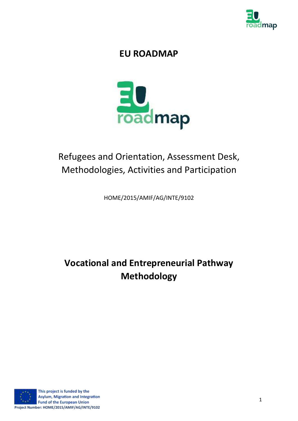

# **EU ROADMAP**



# Refugees and Orientation, Assessment Desk, Methodologies, Activities and Participation

HOME/2015/AMIF/AG/INTE/9102

# **Vocational and Entrepreneurial Pathway Methodology**

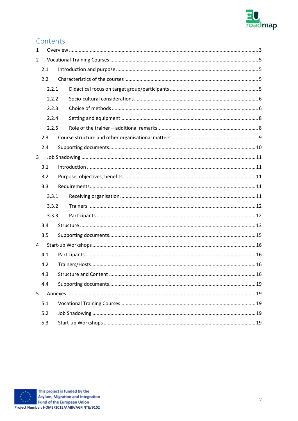

# Contents

| $\mathbf{1}$ |       |  |  |  |
|--------------|-------|--|--|--|
| 2            |       |  |  |  |
| 2.1          |       |  |  |  |
|              | 2.2   |  |  |  |
|              | 2.2.1 |  |  |  |
|              | 2.2.2 |  |  |  |
|              | 2.2.3 |  |  |  |
|              | 2.2.4 |  |  |  |
|              | 2.2.5 |  |  |  |
|              | 2.3   |  |  |  |
|              | 2.4   |  |  |  |
| 3            |       |  |  |  |
|              | 3.1   |  |  |  |
|              | 3.2   |  |  |  |
|              | 3.3   |  |  |  |
|              | 3.3.1 |  |  |  |
|              | 3.3.2 |  |  |  |
|              | 3.3.3 |  |  |  |
|              | 3.4   |  |  |  |
|              | 3.5   |  |  |  |
| 4            |       |  |  |  |
|              | 4.1   |  |  |  |
|              | 4.2   |  |  |  |
|              | 4.3   |  |  |  |
|              | 4.4   |  |  |  |
| 5            |       |  |  |  |
|              | 5.1   |  |  |  |
| 5.2          |       |  |  |  |
|              | 5.3   |  |  |  |

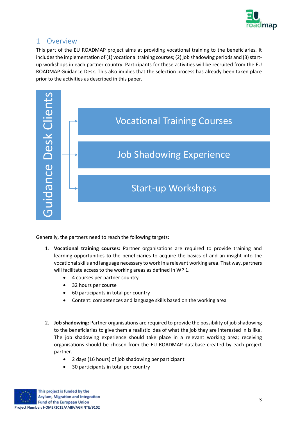

# <span id="page-2-0"></span>1 Overview

This part of the EU ROADMAP project aims at providing vocational training to the beneficiaries. It includes the implementation of (1) vocational training courses; (2) job shadowing periods and (3) startup workshops in each partner country. Participants for these activities will be recruited from the EU ROADMAP Guidance Desk. This also implies that the selection process has already been taken place prior to the activities as described in this paper.



Generally, the partners need to reach the following targets:

- 1. **Vocational training courses:** Partner organisations are required to provide training and learning opportunities to the beneficiaries to acquire the basics of and an insight into the vocational skills and language necessary to work in a relevant working area. That way, partners will facilitate access to the working areas as defined in WP 1.
	- 4 courses per partner country
	- 32 hours per course
	- 60 participants in total per country
	- Content: competences and language skills based on the working area
- 2. **Job shadowing:** Partner organisations are required to provide the possibility of job shadowing to the beneficiaries to give them a realistic idea of what the job they are interested in is like. The job shadowing experience should take place in a relevant working area; receiving organisations should be chosen from the EU ROADMAP database created by each project partner.
	- 2 days (16 hours) of job shadowing per participant
	- 30 participants in total per country

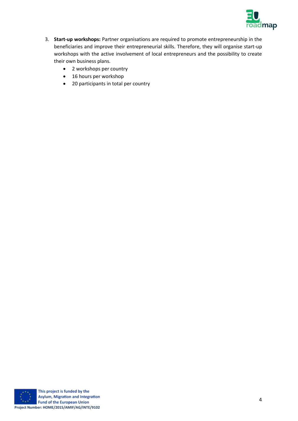

- 3. **Start-up workshops:** Partner organisations are required to promote entrepreneurship in the beneficiaries and improve their entrepreneurial skills. Therefore, they will organise start-up workshops with the active involvement of local entrepreneurs and the possibility to create their own business plans.
	- 2 workshops per country
	- 16 hours per workshop
	- 20 participants in total per country

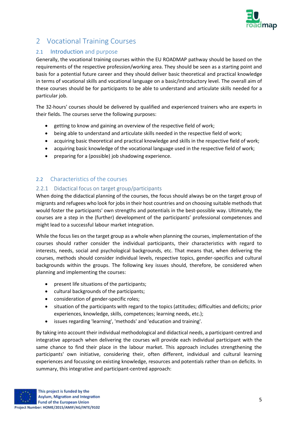

# <span id="page-4-0"></span>2 Vocational Training Courses

## <span id="page-4-1"></span>2.1 Introduction and purpose

Generally, the vocational training courses within the EU ROADMAP pathway should be based on the requirements of the respective profession/working area. They should be seen as a starting point and basis for a potential future career and they should deliver basic theoretical and practical knowledge in terms of vocational skills and vocational language on a basic/introductory level. The overall aim of these courses should be for participants to be able to understand and articulate skills needed for a particular job.

The 32-hours' courses should be delivered by qualified and experienced trainers who are experts in their fields. The courses serve the following purposes:

- getting to know and gaining an overview of the respective field of work;
- being able to understand and articulate skills needed in the respective field of work;
- acquiring basic theoretical and practical knowledge and skills in the respective field of work;
- acquiring basic knowledge of the vocational language used in the respective field of work;
- preparing for a (possible) job shadowing experience.

## <span id="page-4-2"></span>2.2 Characteristics of the courses

#### <span id="page-4-3"></span>2.2.1 Didactical focus on target group/participants

When doing the didactical planning of the courses, the focus should always be on the target group of migrants and refugees who look for jobs in their host countries and on choosing suitable methods that would foster the participants' own strengths and potentials in the best-possible way. Ultimately, the courses are a step in the (further) development of the participants' professional competences and might lead to a successful labour market integration.

While the focus lies on the target group as a whole when planning the courses, implementation of the courses should rather consider the individual participants, their characteristics with regard to interests, needs, social and psychological backgrounds, etc. That means that, when delivering the courses, methods should consider individual levels, respective topics, gender-specifics and cultural backgrounds within the groups. The following key issues should, therefore, be considered when planning and implementing the courses:

- present life situations of the participants;
- cultural backgrounds of the participants;
- consideration of gender-specific roles;
- situation of the participants with regard to the topics (attitudes; difficulties and deficits; prior experiences, knowledge, skills, competences; learning needs, etc.);
- issues regarding 'learning', 'methods' and 'education and training'.

By taking into account their individual methodological and didactical needs, a participant-centred and integrative approach when delivering the courses will provide each individual participant with the same chance to find their place in the labour market. This approach includes strengthening the participants' own initiative, considering their, often different, individual and cultural learning experiences and focussing on existing knowledge, resources and potentials rather than on deficits. In summary, this integrative and participant-centred approach: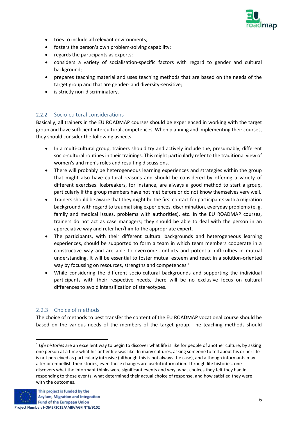

- tries to include all relevant environments;
- fosters the person's own problem-solving capability;
- regards the participants as experts;
- considers a variety of socialisation-specific factors with regard to gender and cultural background;
- prepares teaching material and uses teaching methods that are based on the needs of the target group and that are gender- and diversity-sensitive;
- is strictly non-discriminatory.

#### <span id="page-5-0"></span>2.2.2 Socio-cultural considerations

Basically, all trainers in the EU ROADMAP courses should be experienced in working with the target group and have sufficient intercultural competences. When planning and implementing their courses, they should consider the following aspects:

- In a multi-cultural group, trainers should try and actively include the, presumably, different socio-cultural routines in their trainings. This might particularly refer to the traditional view of women's and men's roles and resulting discussions.
- There will probably be heterogeneous learning experiences and strategies within the group that might also have cultural reasons and should be considered by offering a variety of different exercises. Icebreakers, for instance, are always a good method to start a group, particularly if the group members have not met before or do not know themselves very well.
- Trainers should be aware that they might be the first contact for participants with a migration background with regard to traumatising experiences, discrimination, everyday problems (e. g. family and medical issues, problems with authorities), etc. In the EU ROADMAP courses, trainers do not act as case managers; they should be able to deal with the person in an appreciative way and refer her/him to the appropriate expert.
- The participants, with their different cultural backgrounds and heterogeneous learning experiences, should be supported to form a team in which team members cooperate in a constructive way and are able to overcome conflicts and potential difficulties in mutual understanding. It will be essential to foster mutual esteem and react in a solution-oriented way by focussing on resources, strengths and competences.<sup>1</sup>
- While considering the different socio-cultural backgrounds and supporting the individual participants with their respective needs, there will be no exclusive focus on cultural differences to avoid intensification of stereotypes.

#### <span id="page-5-1"></span>2.2.3 Choice of methods

The choice of methods to best transfer the content of the EU ROADMAP vocational course should be based on the various needs of the members of the target group. The teaching methods should

<sup>&</sup>lt;sup>1</sup> Life histories are an excellent way to begin to discover what life is like for people of another culture, by asking one person at a time what his or her life was like. In many cultures, asking someone to tell about his or her life is not perceived as particularly intrusive (although this is not always the case), and although informants may alter or embellish their stories, even those changes are useful information. Through life histories, one discovers what the informant thinks were significant events and why, what choices they felt they had in responding to those events, what determined their actual choice of response, and how satisfied they were with the outcomes.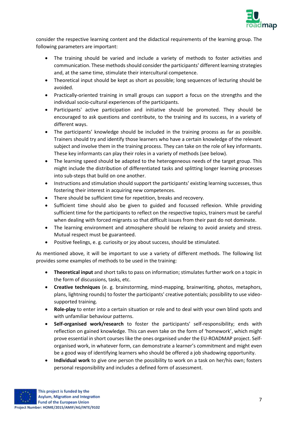

consider the respective learning content and the didactical requirements of the learning group. The following parameters are important:

- The training should be varied and include a variety of methods to foster activities and communication. These methods should consider the participants' different learning strategies and, at the same time, stimulate their intercultural competence.
- Theoretical input should be kept as short as possible; long sequences of lecturing should be avoided.
- Practically-oriented training in small groups can support a focus on the strengths and the individual socio-cultural experiences of the participants.
- Participants' active participation and initiative should be promoted. They should be encouraged to ask questions and contribute, to the training and its success, in a variety of different ways.
- The participants' knowledge should be included in the training process as far as possible. Trainers should try and identify those learners who have a certain knowledge of the relevant subject and involve them in the training process. They can take on the role of key informants. These key informants can play their roles in a variety of methods (see below).
- The learning speed should be adapted to the heterogeneous needs of the target group. This might include the distribution of differentiated tasks and splitting longer learning processes into sub-steps that build on one another.
- Instructions and stimulation should support the participants' existing learning successes, thus fostering their interest in acquiring new competences.
- There should be sufficient time for repetition, breaks and recovery.
- Sufficient time should also be given to guided and focussed reflexion. While providing sufficient time for the participants to reflect on the respective topics, trainers must be careful when dealing with forced migrants so that difficult issues from their past do not dominate.
- The learning environment and atmosphere should be relaxing to avoid anxiety and stress. Mutual respect must be guaranteed.
- Positive feelings, e. g. curiosity or joy about success, should be stimulated.

As mentioned above, it will be important to use a variety of different methods. The following list provides some examples of methods to be used in the training:

- **Theoretical input** and short talks to pass on information; stimulates further work on a topic in the form of discussions, tasks, etc.
- **Creative techniques** (e. g. brainstorming, mind-mapping, brainwriting, photos, metaphors, plans, lightning rounds) to foster the participants' creative potentials; possibility to use videosupported training.
- **Role-play** to enter into a certain situation or role and to deal with your own blind spots and with unfamiliar behaviour patterns.
- **Self-organised work/research** to foster the participants' self-responsibility; ends with reflection on gained knowledge. This can even take on the form of 'homework', which might prove essential in short courses like the ones organised under the EU-ROADMAP project. Selforganised work, in whatever form, can demonstrate a learner's commitment and might even be a good way of identifying learners who should be offered a job shadowing opportunity.
- **Individual work** to give one person the possibility to work on a task on her/his own; fosters personal responsibility and includes a defined form of assessment.

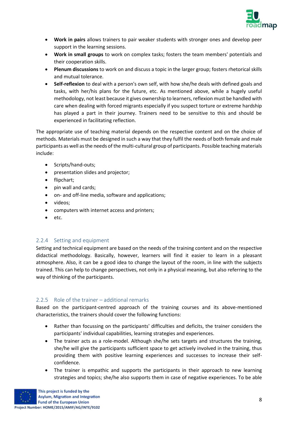

- **Work in pairs** allows trainers to pair weaker students with stronger ones and develop peer support in the learning sessions.
- **Work in small groups** to work on complex tasks; fosters the team members' potentials and their cooperation skills.
- **Plenum discussions** to work on and discuss a topic in the larger group; fosters rhetorical skills and mutual tolerance.
- **Self-reflexion** to deal with a person's own self, with how she/he deals with defined goals and tasks, with her/his plans for the future, etc. As mentioned above, while a hugely useful methodology, not least because it gives ownership to learners, reflexion must be handled with care when dealing with forced migrants especially if you suspect torture or extreme hardship has played a part in their journey. Trainers need to be sensitive to this and should be experienced in facilitating reflection.

The appropriate use of teaching material depends on the respective content and on the choice of methods. Materials must be designed in such a way that they fulfil the needs of both female and male participants as well as the needs of the multi-cultural group of participants. Possible teaching materials include:

- Scripts/hand-outs;
- presentation slides and projector;
- flipchart;
- pin wall and cards;
- on- and off-line media, software and applications;
- videos;
- computers with internet access and printers;
- etc.

#### <span id="page-7-0"></span>2.2.4 Setting and equipment

Setting and technical equipment are based on the needs of the training content and on the respective didactical methodology. Basically, however, learners will find it easier to learn in a pleasant atmosphere. Also, it can be a good idea to change the layout of the room, in line with the subjects trained. This can help to change perspectives, not only in a physical meaning, but also referring to the way of thinking of the participants.

#### <span id="page-7-1"></span>2.2.5 Role of the trainer – additional remarks

Based on the participant-centred approach of the training courses and its above-mentioned characteristics, the trainers should cover the following functions:

- Rather than focussing on the participants' difficulties and deficits, the trainer considers the participants' individual capabilities, learning strategies and experiences.
- The trainer acts as a role-model. Although she/he sets targets and structures the training, she/he will give the participants sufficient space to get actively involved in the training, thus providing them with positive learning experiences and successes to increase their selfconfidence.
- The trainer is empathic and supports the participants in their approach to new learning strategies and topics; she/he also supports them in case of negative experiences. To be able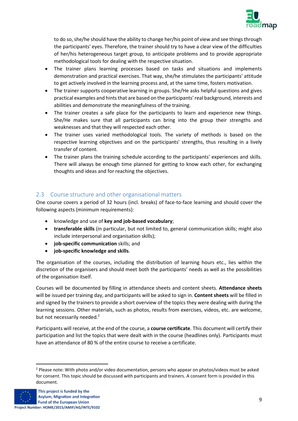

to do so, she/he should have the ability to change her/his point of view and see things through the participants' eyes. Therefore, the trainer should try to have a clear view of the difficulties of her/his heterogeneous target group, to anticipate problems and to provide appropriate methodological tools for dealing with the respective situation.

- The trainer plans learning processes based on tasks and situations and implements demonstration and practical exercises. That way, she/he stimulates the participants' attitude to get actively involved in the learning process and, at the same time, fosters motivation.
- The trainer supports cooperative learning in groups. She/He asks helpful questions and gives practical examples and hints that are based on the participants' real background, interests and abilities and demonstrate the meaningfulness of the training.
- The trainer creates a safe place for the participants to learn and experience new things. She/He makes sure that all participants can bring into the group their strengths and weaknesses and that they will respected each other.
- The trainer uses varied methodological tools. The variety of methods is based on the respective learning objectives and on the participants' strengths, thus resulting in a lively transfer of content.
- The trainer plans the training schedule according to the participants' experiences and skills. There will always be enough time planned for getting to know each other, for exchanging thoughts and ideas and for reaching the objectives.

## <span id="page-8-0"></span>2.3 Course structure and other organisational matters

One course covers a period of 32 hours (incl. breaks) of face-to-face learning and should cover the following aspects (minimum requirements):

- knowledge and use of **key and job-based vocabulary**;
- **transferable skills** (in particular, but not limited to, general communication skills; might also include interpersonal and organisation skills);
- **job-specific communication** skills; and
- **job-specific knowledge and skills**.

The organisation of the courses, including the distribution of learning hours etc., lies within the discretion of the organisers and should meet both the participants' needs as well as the possibilities of the organisation itself.

Courses will be documented by filling in attendance sheets and content sheets. **Attendance sheets** will be issued per training day, and participants will be asked to sign in. **Content sheets** will be filled in and signed by the trainers to provide a short overview of the topics they were dealing with during the learning sessions. Other materials, such as photos, results from exercises, videos, etc. are welcome, but not necessarily needed.<sup>2</sup>

Participants will receive, at the end of the course, a **course certificate**. This document will certify their participation and list the topics that were dealt with in the course (headlines only). Participants must have an attendance of 80 % of the entire course to receive a certificate.

<sup>2</sup> Please note: With photo and/or video documentation, persons who appear on photos/videos must be asked for consent. This topic should be discussed with participants and trainers. A consent form is provided in this document.

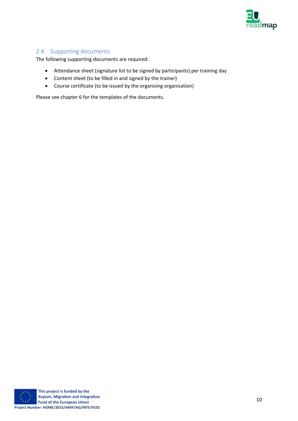

## <span id="page-9-0"></span>2.4 Supporting documents

The following supporting documents are required:

- Attendance sheet (signature list to be signed by participants) per training day
- Content sheet (to be filled in and signed by the trainer)
- Course certificate (to be issued by the organising organisation)

Please see chapter 6 for the templates of the documents.

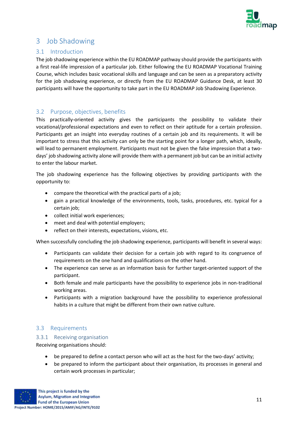

# <span id="page-10-0"></span>3 Job Shadowing

## <span id="page-10-1"></span>3.1 Introduction

The job shadowing experience within the EU ROADMAP pathway should provide the participants with a first real-life impression of a particular job. Either following the EU ROADMAP Vocational Training Course, which includes basic vocational skills and language and can be seen as a preparatory activity for the job shadowing experience, or directly from the EU ROADMAP Guidance Desk, at least 30 participants will have the opportunity to take part in the EU ROADMAP Job Shadowing Experience.

## <span id="page-10-2"></span>3.2 Purpose, objectives, benefits

This practically-oriented activity gives the participants the possibility to validate their vocational/professional expectations and even to reflect on their aptitude for a certain profession. Participants get an insight into everyday routines of a certain job and its requirements. It will be important to stress that this activity can only be the starting point for a longer path, which, ideally, will lead to permanent employment. Participants must not be given the false impression that a twodays' job shadowing activity alone will provide them with a permanent job but can be an initial activity to enter the labour market.

The job shadowing experience has the following objectives by providing participants with the opportunity to:

- compare the theoretical with the practical parts of a job;
- gain a practical knowledge of the environments, tools, tasks, procedures, etc. typical for a certain job:
- collect initial work experiences;
- meet and deal with potential employers;
- reflect on their interests, expectations, visions, etc.

When successfully concluding the job shadowing experience, participants will benefit in several ways:

- Participants can validate their decision for a certain job with regard to its congruence of requirements on the one hand and qualifications on the other hand.
- The experience can serve as an information basis for further target-oriented support of the participant.
- Both female and male participants have the possibility to experience jobs in non-traditional working areas.
- Participants with a migration background have the possibility to experience professional habits in a culture that might be different from their own native culture.

#### <span id="page-10-3"></span>3.3 Requirements

#### <span id="page-10-4"></span>3.3.1 Receiving organisation

Receiving organisations should:

- be prepared to define a contact person who will act as the host for the two-days' activity;
- be prepared to inform the participant about their organisation, its processes in general and certain work processes in particular;

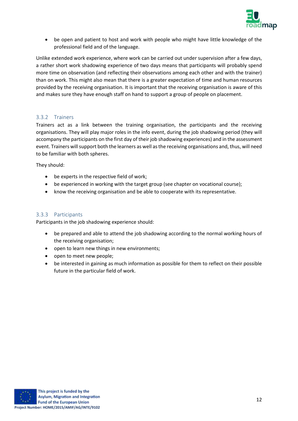

• be open and patient to host and work with people who might have little knowledge of the professional field and of the language.

Unlike extended work experience, where work can be carried out under supervision after a few days, a rather short work shadowing experience of two days means that participants will probably spend more time on observation (and reflecting their observations among each other and with the trainer) than on work. This might also mean that there is a greater expectation of time and human resources provided by the receiving organisation. It is important that the receiving organisation is aware of this and makes sure they have enough staff on hand to support a group of people on placement.

#### <span id="page-11-0"></span>3.3.2 Trainers

Trainers act as a link between the training organisation, the participants and the receiving organisations. They will play major roles in the info event, during the job shadowing period (they will accompany the participants on the first day of their job shadowing experiences) and in the assessment event. Trainers will support both the learners as well as the receiving organisations and, thus, will need to be familiar with both spheres.

They should:

- be experts in the respective field of work;
- be experienced in working with the target group (see chapter on vocational course);
- know the receiving organisation and be able to cooperate with its representative.

#### <span id="page-11-1"></span>3.3.3 Participants

Participants in the job shadowing experience should:

- be prepared and able to attend the job shadowing according to the normal working hours of the receiving organisation;
- open to learn new things in new environments;
- open to meet new people;
- be interested in gaining as much information as possible for them to reflect on their possible future in the particular field of work.

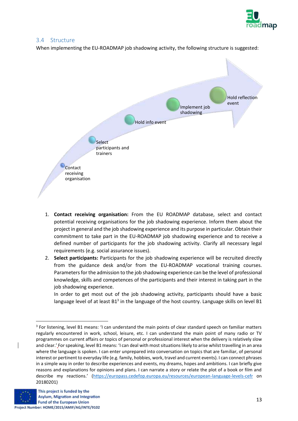

#### <span id="page-12-0"></span>3.4 Structure

When implementing the EU-ROADMAP job shadowing activity, the following structure is suggested:



- 1. **Contact receiving organisation:** From the EU ROADMAP database, select and contact potential receiving organisations for the job shadowing experience. Inform them about the project in general and the job shadowing experience and its purpose in particular. Obtain their commitment to take part in the EU-ROADMAP job shadowing experience and to receive a defined number of participants for the job shadowing activity. Clarify all necessary legal requirements (e.g. social assurance issues).
- 2. **Select participants:** Participants for the job shadowing experience will be recruited directly from the guidance desk and/or from the EU-ROADMAP vocational training courses. Parameters for the admission to the job shadowing experience can be the level of professional knowledge, skills and competences of the participants and their interest in taking part in the job shadowing experience.

In order to get most out of the job shadowing activity, participants should have a basic language level of at least  $B1<sup>3</sup>$  in the language of the host country. Language skills on level B1

<sup>&</sup>lt;sup>3</sup> For listening, level B1 means: 'I can understand the main points of clear standard speech on familiar matters regularly encountered in work, school, leisure, etc. I can understand the main point of many radio or TV programmes on current affairs or topics of personal or professional interest when the delivery is relatively slow and clear.' For speaking, level B1 means: 'I can deal with most situations likely to arise whilst travelling in an area where the language is spoken. I can enter unprepared into conversation on topics that are familiar, of personal interest or pertinent to everyday life (e.g. family, hobbies, work, travel and current events). I can connect phrases in a simple way in order to describe experiences and events, my dreams, hopes and ambitions. I can briefly give reasons and explanations for opinions and plans. I can narrate a story or relate the plot of a book or film and describe my reactions.' (<https://europass.cedefop.europa.eu/resources/european-language-levels-cefr> on 20180201)

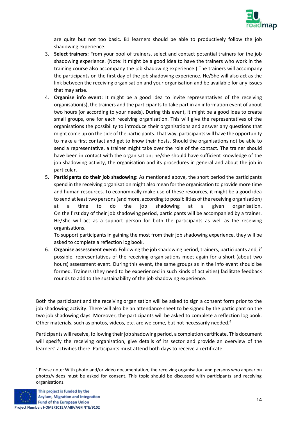

are quite but not too basic. B1 learners should be able to productively follow the job shadowing experience.

- 3. **Select trainers:** From your pool of trainers, select and contact potential trainers for the job shadowing experience. (Note: It might be a good idea to have the trainers who work in the training course also accompany the job shadowing experience.) The trainers will accompany the participants on the first day of the job shadowing experience. He/She will also act as the link between the receiving organisation and your organisation and be available for any issues that may arise.
- 4. **Organise info event:** It might be a good idea to invite representatives of the receiving organisation(s), the trainers and the participants to take part in an information event of about two hours (or according to your needs). During this event, it might be a good idea to create small groups, one for each receiving organisation. This will give the representatives of the organisations the possibility to introduce their organisations and answer any questions that might come up on the side of the participants. That way, participants will have the opportunity to make a first contact and get to know their hosts. Should the organisations not be able to send a representative, a trainer might take over the role of the contact. The trainer should have been in contact with the organisation; he/she should have sufficient knowledge of the job shadowing activity, the organisation and its procedures in general and about the job in particular.
- 5. **Participants do their job shadowing:** As mentioned above, the short period the participants spend in the receiving organisation might also mean for the organisation to provide more time and human resources. To economically make use of these resources, it might be a good idea to send at least two persons (and more, according to possibilities of the receiving organisation) at a time to do the job shadowing at a given organisation. On the first day of their job shadowing period, participants will be accompanied by a trainer. He/She will act as a support person for both the participants as well as the receiving organisations.

To support participants in gaining the most from their job shadowing experience, they will be asked to complete a reflection log book.

6. **Organise assessment event:** Following the job shadowing period, trainers, participants and, if possible, representatives of the receiving organisations meet again for a short (about two hours) assessment event. During this event, the same groups as in the info event should be formed. Trainers (they need to be experienced in such kinds of activities) facilitate feedback rounds to add to the sustainability of the job shadowing experience.

Both the participant and the receiving organisation will be asked to sign a consent form prior to the job shadowing activity. There will also be an attendance sheet to be signed by the participant on the two job shadowing days. Moreover, the participants will be asked to complete a reflection log book. Other materials, such as photos, videos, etc. are welcome, but not necessarily needed.<sup>4</sup>

Participants will receive, following their job shadowing period, a completion certificate. This document will specify the receiving organisation, give details of its sector and provide an overview of the learners' activities there. Participants must attend both days to receive a certificate.

<sup>4</sup> Please note: With photo and/or video documentation, the receiving organisation and persons who appear on photos/videos must be asked for consent. This topic should be discussed with participants and receiving organisations.

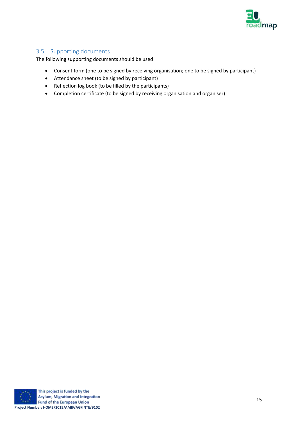

## <span id="page-14-0"></span>3.5 Supporting documents

The following supporting documents should be used:

- Consent form (one to be signed by receiving organisation; one to be signed by participant)
- Attendance sheet (to be signed by participant)
- Reflection log book (to be filled by the participants)
- Completion certificate (to be signed by receiving organisation and organiser)

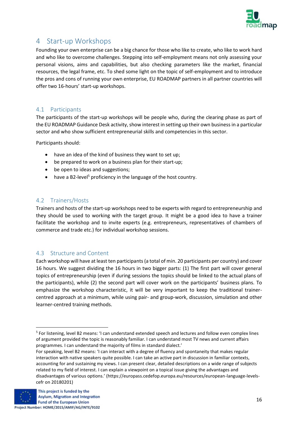

# <span id="page-15-0"></span>4 Start-up Workshops

Founding your own enterprise can be a big chance for those who like to create, who like to work hard and who like to overcome challenges. Stepping into self-employment means not only assessing your personal visions, aims and capabilities, but also checking parameters like the market, financial resources, the legal frame, etc. To shed some light on the topic of self-employment and to introduce the pros and cons of running your own enterprise, EU ROADMAP partners in all partner countries will offer two 16-hours' start-up workshops.

## <span id="page-15-1"></span>4.1 Participants

The participants of the start-up workshops will be people who, during the clearing phase as part of the EU ROADMAP Guidance Desk activity, show interest in setting up their own business in a particular sector and who show sufficient entrepreneurial skills and competencies in this sector.

Participants should:

- have an idea of the kind of business they want to set up;
- be prepared to work on a business plan for their start-up;
- be open to ideas and suggestions;
- have a B2-level<sup>5</sup> proficiency in the language of the host country.

#### <span id="page-15-2"></span>4.2 Trainers/Hosts

Trainers and hosts of the start-up workshops need to be experts with regard to entrepreneurship and they should be used to working with the target group. It might be a good idea to have a trainer facilitate the workshop and to invite experts (e.g. entrepreneurs, representatives of chambers of commerce and trade etc.) for individual workshop sessions.

#### <span id="page-15-3"></span>4.3 Structure and Content

Each workshop will have at least ten participants (a total of min. 20 participants per country) and cover 16 hours. We suggest dividing the 16 hours in two bigger parts: (1) The first part will cover general topics of entrepreneurship (even if during sessions the topics should be linked to the actual plans of the participants), while (2) the second part will cover work on the participants' business plans. To emphasize the workshop characteristic, it will be very important to keep the traditional trainercentred approach at a minimum, while using pair- and group-work, discussion, simulation and other learner-centred training methods.

For speaking, level B2 means: 'I can interact with a degree of fluency and spontaneity that makes regular interaction with native speakers quite possible. I can take an active part in discussion in familiar contexts, accounting for and sustaining my views. I can present clear, detailed descriptions on a wide range of subjects related to my field of interest. I can explain a viewpoint on a topical issue giving the advantages and disadvantages of various options.' (https://europass.cedefop.europa.eu/resources/european-language-levelscefr on 20180201)



<sup>&</sup>lt;sup>5</sup> For listening, level B2 means: 'I can understand extended speech and lectures and follow even complex lines of argument provided the topic is reasonably familiar. I can understand most TV news and current affairs programmes. I can understand the majority of films in standard dialect.'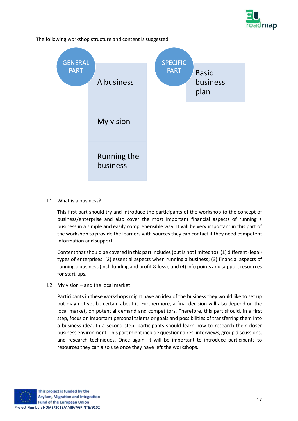

A business My vision Running the business **GENERAL** PART Basic business plan SPECIFIC PART

The following workshop structure and content is suggested:

I.1 What is a business?

This first part should try and introduce the participants of the workshop to the concept of business/enterprise and also cover the most important financial aspects of running a business in a simple and easily comprehensible way. It will be very important in this part of the workshop to provide the learners with sources they can contact if they need competent information and support.

Content that should be covered in this part includes (but is not limited to): (1) different (legal) types of enterprises; (2) essential aspects when running a business; (3) financial aspects of running a business (incl. funding and profit & loss); and (4) info points and support resources for start-ups.

I.2 My vision – and the local market

Participants in these workshops might have an idea of the business they would like to set up but may not yet be certain about it. Furthermore, a final decision will also depend on the local market, on potential demand and competitors. Therefore, this part should, in a first step, focus on important personal talents or goals and possibilities of transferring them into a business idea. In a second step, participants should learn how to research their closer business environment. This part might include questionnaires, interviews, group discussions, and research techniques. Once again, it will be important to introduce participants to resources they can also use once they have left the workshops.

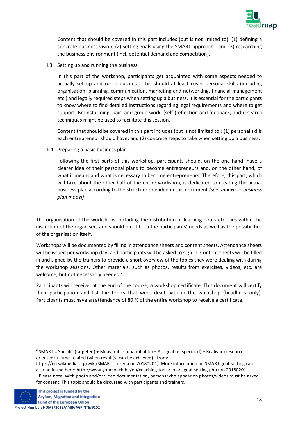

Content that should be covered in this part includes (but is not limited to): (1) defining a concrete business vision; (2) setting goals using the SMART approach<sup>6</sup>; and (3) researching the business environment (incl. potential demand and competition).

I.3 Setting up and running the business

In this part of the workshop, participants get acquainted with some aspects needed to actually set up and run a business. This should at least cover personal skills (including organisation, planning, communication, marketing and networking, financial management etc.) and legally required steps when setting up a business. It is essential for the participants to know where to find detailed instructions regarding legal requirements and where to get support. Brainstorming, pair- and group-work, (self-)reflection and feedback, and research techniques might be used to facilitate this session.

Content that should be covered in this part includes (but is not limited to): (1) personal skills each entrepreneur should have; and (2) concrete steps to take when setting up a business.

II.1 Preparing a basic business plan

Following the first parts of this workshop, participants should, on the one hand, have a clearer idea of their personal plans to become entrepreneurs and, on the other hand, of what it means and what is necessary to become entrepreneurs. Therefore, this part, which will take about the other half of the entire workshop, is dedicated to creating the actual business plan according to the structure provided in this document *(see annexes – business plan model)*

The organisation of the workshops, including the distribution of learning hours etc., lies within the discretion of the organisers and should meet both the participants' needs as well as the possibilities of the organisation itself.

Workshops will be documented by filling in attendance sheets and content sheets. Attendance sheets will be issued per workshop day, and participants will be asked to sign in. Content sheets will be filled in and signed by the trainers to provide a short overview of the topics they were dealing with during the workshop sessions. Other materials, such as photos, results from exercises, videos, etc. are welcome, but not necessarily needed.<sup>7</sup>

Participants will receive, at the end of the course, a workshop certificate. This document will certify their participation and list the topics that were dealt with in the workshop (headlines only). Participants must have an attendance of 80 % of the entire workshop to receive a certificate.

<sup>6</sup> SMART = Specific (targeted) + Measurable (quantifiable) + Assignable (specified) + Realistic (resourceoriented) + Time-related (when result(s) can be achieved). (from:

https://en.wikipedia.org/wiki/SMART\_criteria on 20180201). More information on SMART goal-setting can also be found here: http://www.yourcoach.be/en/coaching-tools/smart-goal-setting.php (on 20180201). <sup>7</sup> Please note: With photo and/or video documentation, persons who appear on photos/videos must be asked for consent. This topic should be discussed with participants and trainers.

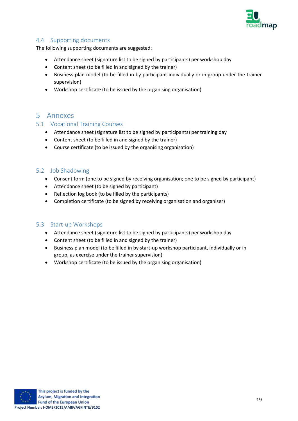

#### <span id="page-18-0"></span>4.4 Supporting documents

The following supporting documents are suggested:

- Attendance sheet (signature list to be signed by participants) per workshop day
- Content sheet (to be filled in and signed by the trainer)
- Business plan model (to be filled in by participant individually or in group under the trainer supervision)
- Workshop certificate (to be issued by the organising organisation)

# <span id="page-18-1"></span>5 Annexes

#### <span id="page-18-2"></span>5.1 Vocational Training Courses

- Attendance sheet (signature list to be signed by participants) per training day
- Content sheet (to be filled in and signed by the trainer)
- Course certificate (to be issued by the organising organisation)

#### <span id="page-18-3"></span>5.2 Job Shadowing

- Consent form (one to be signed by receiving organisation; one to be signed by participant)
- Attendance sheet (to be signed by participant)
- Reflection log book (to be filled by the participants)
- Completion certificate (to be signed by receiving organisation and organiser)

#### <span id="page-18-4"></span>5.3 Start-up Workshops

- Attendance sheet (signature list to be signed by participants) per workshop day
- Content sheet (to be filled in and signed by the trainer)
- Business plan model (to be filled in by start-up workshop participant, individually or in group, as exercise under the trainer supervision)
- Workshop certificate (to be issued by the organising organisation)

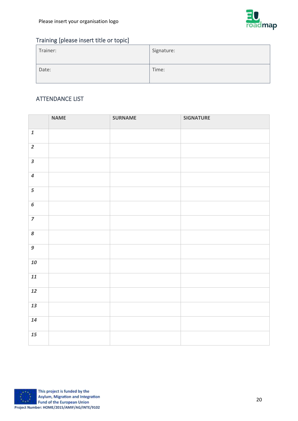

# Training [please insert title or topic]

| Trainer: | Signature: |
|----------|------------|
| Date:    | Time:      |

# ATTENDANCE LIST

|                         | <b>NAME</b> | <b>SURNAME</b> | <b>SIGNATURE</b> |
|-------------------------|-------------|----------------|------------------|
| $\pmb{1}$               |             |                |                  |
| $\overline{2}$          |             |                |                  |
| $\overline{\mathbf{3}}$ |             |                |                  |
| $\boldsymbol{4}$        |             |                |                  |
| 5                       |             |                |                  |
| $\overline{6}$          |             |                |                  |
| $\overline{z}$          |             |                |                  |
| 8                       |             |                |                  |
| $\overline{g}$          |             |                |                  |
| 10                      |             |                |                  |
| 11                      |             |                |                  |
| 12                      |             |                |                  |
| 13                      |             |                |                  |
| 14                      |             |                |                  |
| 15                      |             |                |                  |

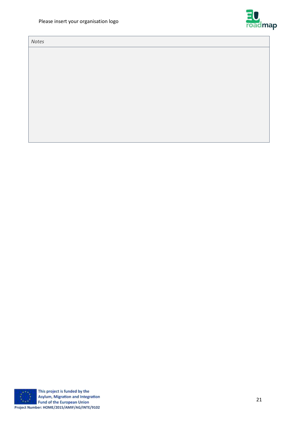*Notes*





This project is funded by the Asylum, Migration and Integration Fund of the European Union **Project Number: HOME/2015/AMIF/AG/INTE/9102**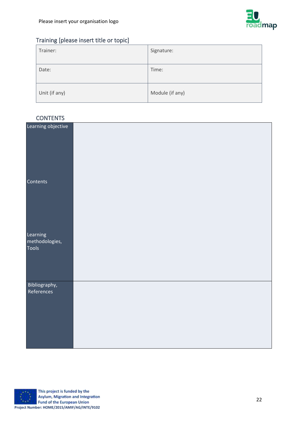

# Training [please insert title or topic]

| Trainer:      | Signature:      |
|---------------|-----------------|
| Date:         | Time:           |
| Unit (if any) | Module (if any) |

## **CONTENTS**

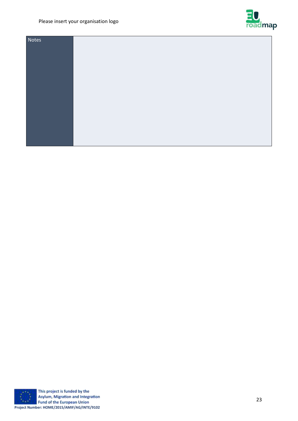## Please insert your organisation logo



| Notes |  |
|-------|--|
|       |  |
|       |  |
|       |  |
|       |  |
|       |  |
|       |  |
|       |  |
|       |  |
|       |  |
|       |  |
|       |  |



This project is funded by the Asylum, Migration and Integration Fund of the European Union **Project Number: HOME/2015/AMIF/AG/INTE/9102**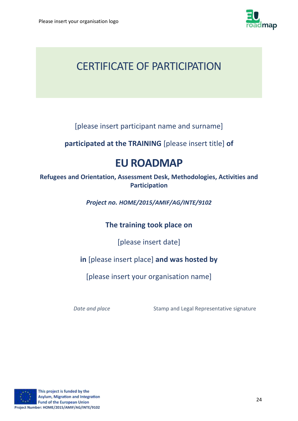

# CERTIFICATE OF PARTICIPATION

[please insert participant name and surname]

**participated at the TRAINING** [please insert title] **of** 

# **EU ROADMAP**

**Refugees and Orientation, Assessment Desk, Methodologies, Activities and Participation**

*Project no. HOME/2015/AMIF/AG/INTE/9102*

**The training took place on**

[please insert date]

# **in** [please insert place] **and was hosted by**

[please insert your organisation name]

**Date and place** Stamp and Legal Representative signature

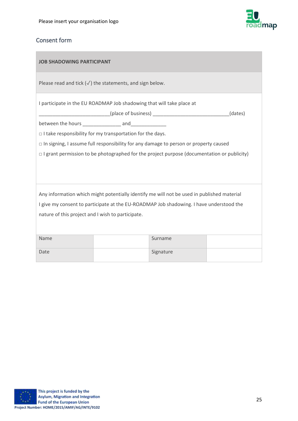

# Consent form

| <b>JOB SHADOWING PARTICIPANT</b>                                                           |                                                                       |                                                                                                   |  |  |
|--------------------------------------------------------------------------------------------|-----------------------------------------------------------------------|---------------------------------------------------------------------------------------------------|--|--|
| Please read and tick $(\sqrt{})$ the statements, and sign below.                           |                                                                       |                                                                                                   |  |  |
|                                                                                            | I participate in the EU ROADMAP Job shadowing that will take place at |                                                                                                   |  |  |
|                                                                                            |                                                                       | ______________________(place of business) _____________________________(dates)                    |  |  |
|                                                                                            |                                                                       |                                                                                                   |  |  |
|                                                                                            | $\Box$ I take responsibility for my transportation for the days.      |                                                                                                   |  |  |
|                                                                                            |                                                                       | $\Box$ In signing, I assume full responsibility for any damage to person or property caused       |  |  |
|                                                                                            |                                                                       | $\Box$ I grant permission to be photographed for the project purpose (documentation or publicity) |  |  |
|                                                                                            |                                                                       |                                                                                                   |  |  |
|                                                                                            |                                                                       |                                                                                                   |  |  |
|                                                                                            |                                                                       |                                                                                                   |  |  |
| Any information which might potentially identify me will not be used in published material |                                                                       |                                                                                                   |  |  |
| I give my consent to participate at the EU-ROADMAP Job shadowing. I have understood the    |                                                                       |                                                                                                   |  |  |
| nature of this project and I wish to participate.                                          |                                                                       |                                                                                                   |  |  |
|                                                                                            |                                                                       |                                                                                                   |  |  |
|                                                                                            |                                                                       |                                                                                                   |  |  |
| Name                                                                                       |                                                                       | Surname                                                                                           |  |  |
|                                                                                            |                                                                       |                                                                                                   |  |  |

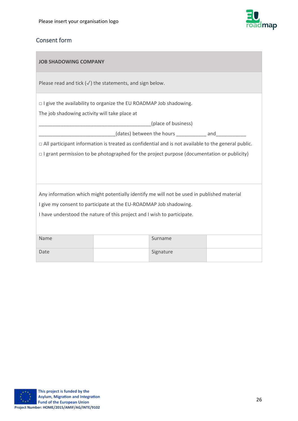

# Consent form

f.

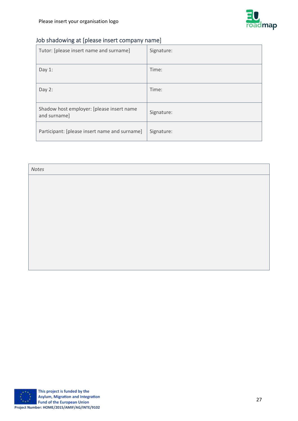

# Job shadowing at [please insert company name]

| Tutor: [please insert name and surname]                   | Signature: |
|-----------------------------------------------------------|------------|
| Day $1$ :                                                 | Time:      |
| Day 2:                                                    | Time:      |
| Shadow host employer: [please insert name<br>and surname] | Signature: |
| Participant: [please insert name and surname]             | Signature: |

| Notes |  |  |
|-------|--|--|
|       |  |  |
|       |  |  |
|       |  |  |
|       |  |  |
|       |  |  |
|       |  |  |
|       |  |  |
|       |  |  |

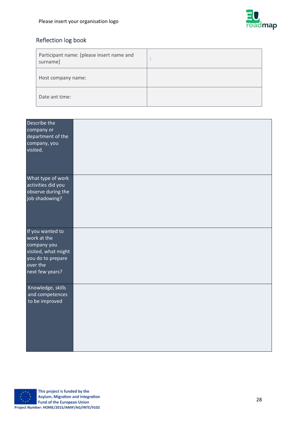

# Reflection log book

| Participant name: [please insert name and<br>surname] | $\bullet$<br>$\bullet$ |
|-------------------------------------------------------|------------------------|
| Host company name:                                    |                        |
| Date ant time:                                        |                        |

| Describe the<br>company or<br>department of the<br>company, you<br>visited.                                               |  |
|---------------------------------------------------------------------------------------------------------------------------|--|
| What type of work<br>activities did you<br>observe during the<br>job shadowing?                                           |  |
| If you wanted to<br>work at the<br>company you<br>visited, what might<br>you do to prepare<br>over the<br>next few years? |  |
| Knowledge, skills<br>and competences<br>to be improved                                                                    |  |

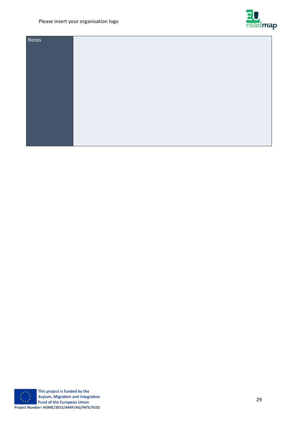## Please insert your organisation logo



| Notes |  |
|-------|--|
|       |  |
|       |  |
|       |  |
|       |  |
|       |  |
|       |  |
|       |  |
|       |  |
|       |  |
|       |  |
|       |  |

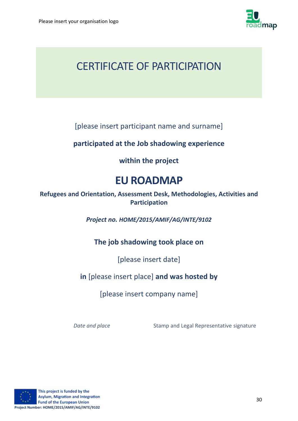

# CERTIFICATE OF PARTICIPATION

[please insert participant name and surname]

# **participated at the Job shadowing experience**

# **within the project**

# **EU ROADMAP**

**Refugees and Orientation, Assessment Desk, Methodologies, Activities and Participation**

*Project no. HOME/2015/AMIF/AG/INTE/9102*

# **The job shadowing took place on**

[please insert date]

# **in** [please insert place] **and was hosted by**

[please insert company name]

**Date and place** Stamp and Legal Representative signature

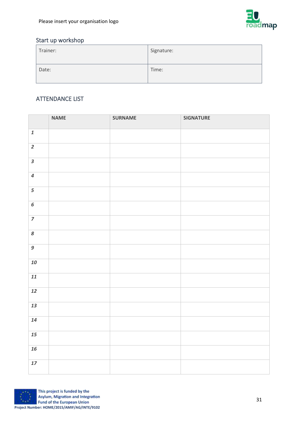

# Start up workshop

| Trainer: | Signature: |
|----------|------------|
| Date:    | Time:      |

# ATTENDANCE LIST

|                         | <b>NAME</b> | <b>SURNAME</b> | <b>SIGNATURE</b> |
|-------------------------|-------------|----------------|------------------|
| $\pmb{\mathit{1}}$      |             |                |                  |
| $\overline{2}$          |             |                |                  |
| $\overline{\mathbf{3}}$ |             |                |                  |
| $\overline{\mathbf{z}}$ |             |                |                  |
| 5                       |             |                |                  |
| $\overline{6}$          |             |                |                  |
| $\overline{z}$          |             |                |                  |
| $\pmb{8}$               |             |                |                  |
| $\overline{g}$          |             |                |                  |
| 10                      |             |                |                  |
| 11                      |             |                |                  |
| 12                      |             |                |                  |
| 13                      |             |                |                  |
| 14                      |             |                |                  |
| 15                      |             |                |                  |
| 16                      |             |                |                  |
| $17\,$                  |             |                |                  |

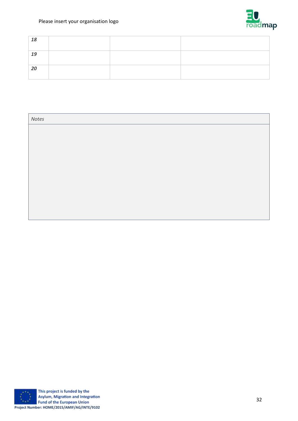## Please insert your organisation logo



| 18 |  |  |
|----|--|--|
| 19 |  |  |
| 20 |  |  |

| Notes |  |  |
|-------|--|--|
|       |  |  |
|       |  |  |
|       |  |  |
|       |  |  |
|       |  |  |
|       |  |  |
|       |  |  |
|       |  |  |
|       |  |  |

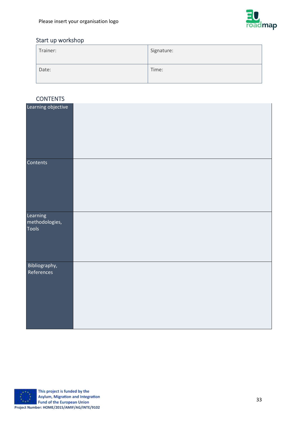

# Start up workshop

| Trainer: | Signature: |
|----------|------------|
| Date:    | Time:      |

# **CONTENTS**

| <b>CONTENTO</b>                     |  |
|-------------------------------------|--|
| Learning objective                  |  |
| Contents                            |  |
| Learning<br>methodologies,<br>Tools |  |
| Bibliography,<br>References         |  |

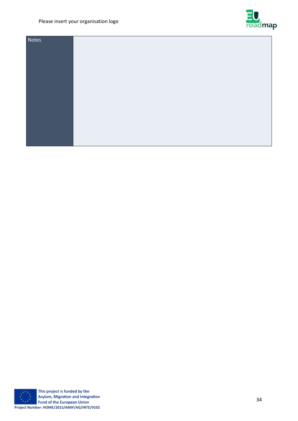## Please insert your organisation logo



| Notes |  |
|-------|--|
|       |  |
|       |  |
|       |  |
|       |  |
|       |  |
|       |  |
|       |  |
|       |  |
|       |  |
|       |  |
|       |  |



This project is funded by the Asylum, Migration and Integration Fund of the European Union **Project Number: HOME/2015/AMIF/AG/INTE/9102**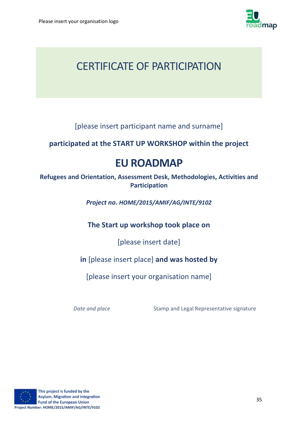

# CERTIFICATE OF PARTICIPATION

[please insert participant name and surname]

# **participated at the START UP WORKSHOP within the project**

# **EU ROADMAP**

**Refugees and Orientation, Assessment Desk, Methodologies, Activities and Participation**

*Project no. HOME/2015/AMIF/AG/INTE/9102*

**The Start up workshop took place on**

[please insert date]

# **in** [please insert place] **and was hosted by**

[please insert your organisation name]

**Date and place** Stamp and Legal Representative signature

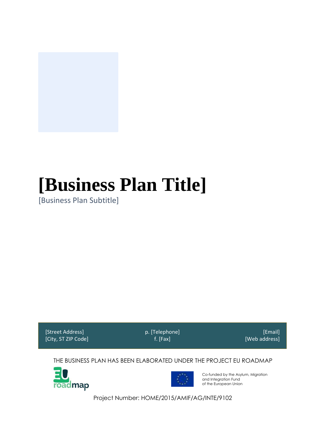

# **[Business Plan Title]**

[Business Plan Subtitle]

[Street Address] [City, ST ZIP Code] p. [Telephone] f. [Fax]

[Email] [Web address]

THE BUSINESS PLAN HAS BEEN ELABORATED UNDER THE PROJECT EU ROADMAP





Co-funded by the Asylum, Migration and Integration Fund of the European Union

Project Number: HOME/2015/AMIF/AG/INTE/9102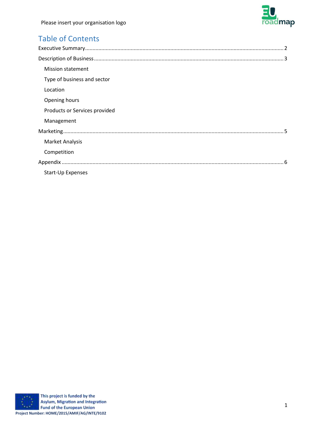

# Table of Contents

| <b>Mission statement</b>      |
|-------------------------------|
| Type of business and sector   |
| Location                      |
| Opening hours                 |
| Products or Services provided |
| Management                    |
|                               |
| <b>Market Analysis</b>        |
| Competition                   |
|                               |
| <b>Start-Up Expenses</b>      |

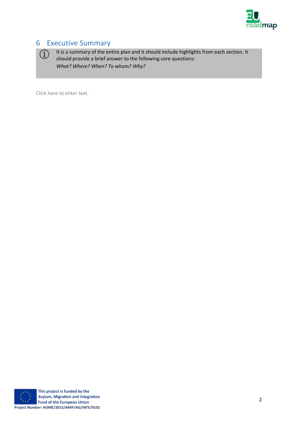

# <span id="page-37-0"></span>6 Executive Summary



It is a summary of the entire plan and it should include highlights from each section. It should provide a brief answer to the following core questions: *What? Where? When? To whom? Why?*

Click here to enter text.



This project is funded by the Asylum, Migration and Integration **Fund of the European Union Project Number: HOME/2015/AMIF/AG/INTE/9102**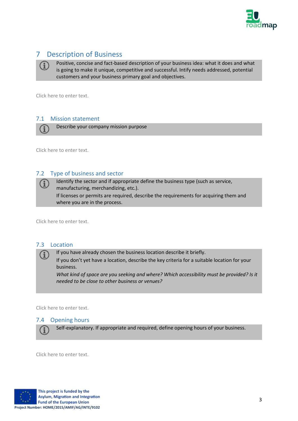

# <span id="page-38-0"></span>7 Description of Business

Positive, concise and fact-based description of your business idea: what it does and what is going to make it unique, competitive and successful. Intify needs addressed, potential customers and your business primary goal and objectives.

<span id="page-38-1"></span>Click here to enter text.

## 7.1 Mission statement

Describe your company mission purpose

<span id="page-38-2"></span>Click here to enter text.

G

#### 7.2 Type of business and sector

Identify the sector and if appropriate define the business type (such as service, manufacturing, merchandizing, etc.). If licenses or permits are required, describe the requirements for acquiring them and where you are in the process.

<span id="page-38-3"></span>Click here to enter text.

#### 7.3 Location

If you have already chosen the business location describe it briefly.

If you don't yet have a location, describe the key criteria for a suitable location for your business.

*What kind of space are you seeking and where? Which accessibility must be provided? Is it needed to be close to other business or venues?* 

<span id="page-38-4"></span>Click here to enter text.

#### 7.4 Opening hours

Self-explanatory. If appropriate and required, define opening hours of your business.

Click here to enter text.

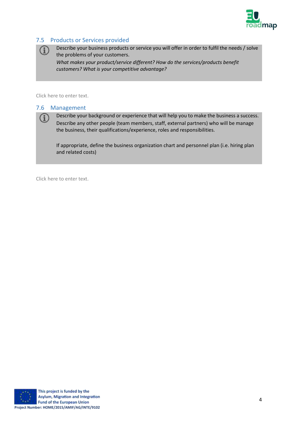

## <span id="page-39-0"></span>7.5 Products or Services provided

Describe your business products or service you will offer in order to fulfil the needs / solve the problems of your customers. *What makes your product/service different? How do the services/products benefit customers? What is your competitive advantage?*

<span id="page-39-1"></span>Click here to enter text.

 $\rm(i)$ 

G

#### 7.6 Management

Describe your background or experience that will help you to make the business a success. Describe any other people (team members, staff, external partners) who will be manage the business, their qualifications/experience, roles and responsibilities.

If appropriate, define the business organization chart and personnel plan (i.e. hiring plan and related costs)

Click here to enter text.

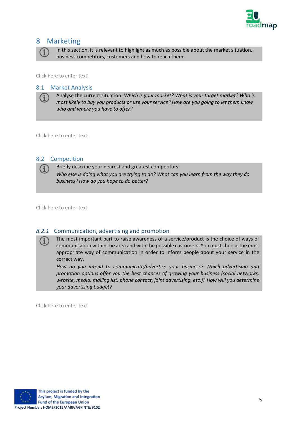

# <span id="page-40-0"></span>8 Marketing

In this section, it is relevant to highlight as much as possible about the market situation, business competitors, customers and how to reach them.

<span id="page-40-1"></span>Click here to enter text.

#### 8.1 Market Analysis

Analyse the current situation: *Which is your market? What is your target market? Who is most likely to buy you products or use your service? How are you going to let them know who and where you have to offer?*

<span id="page-40-2"></span>Click here to enter text.

#### 8.2 Competition

Briefly describe your nearest and greatest competitors.

*Who else is doing what you are trying to do? What can you learn from the way they do business? How do you hope to do better?*

Click here to enter text.

#### *8.2.1* Communication, advertising and promotion

The most important part to raise awareness of a service/product is the choice of ways of  $(i)$ communication within the area and with the possible customers. You must choose the most appropriate way of communication in order to inform people about your service in the correct way.

*How do you intend to communicate/advertise your business? Which advertising and promotion options offer you the best chances of growing your business (social networks, website, media, mailing list, phone contact, joint advertising, etc.)? How will you determine your advertising budget?*

Click here to enter text.